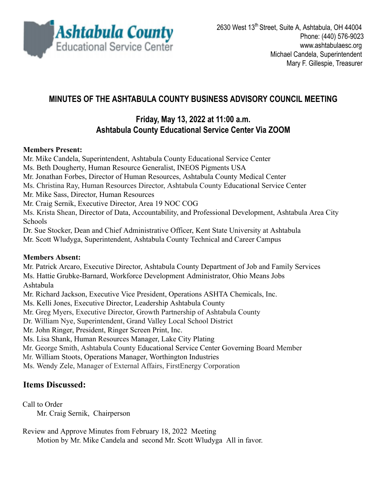

# **MINUTES OF THE ASHTABULA COUNTY BUSINESS ADVISORY COUNCIL MEETING**

## **Friday, May 13, 2022 at 11:00 a.m. Ashtabula County Educational Service Center Via ZOOM**

### **Members Present:**

Mr. Mike Candela, Superintendent, Ashtabula County Educational Service Center Ms. Beth Dougherty, Human Resource Generalist, INEOS Pigments USA Mr. Jonathan Forbes, Director of Human Resources, Ashtabula County Medical Center Ms. Christina Ray, Human Resources Director, Ashtabula County Educational Service Center Mr. Mike Sass, Director, Human Resources Mr. Craig Sernik, Executive Director, Area 19 NOC COG Ms. Krista Shean, Director of Data, Accountability, and Professional Development, Ashtabula Area City Schools Dr. Sue Stocker, Dean and Chief Administrative Officer, Kent State University at Ashtabula Mr. Scott Wludyga, Superintendent, Ashtabula County Technical and Career Campus **Members Absent:** Mr. Patrick Arcaro, Executive Director, Ashtabula County Department of Job and Family Services Ms. Hattie Grubke-Barnard, Workforce Development Administrator, Ohio Means Jobs

Ashtabula

Mr. Richard Jackson, Executive Vice President, Operations ASHTA Chemicals, Inc.

Ms. Kelli Jones, Executive Director, Leadership Ashtabula County

Mr. Greg Myers, Executive Director, Growth Partnership of Ashtabula County

Dr. William Nye, Superintendent, Grand Valley Local School District

Mr. John Ringer, President, Ringer Screen Print, Inc.

Ms. Lisa Shank, Human Resources Manager, Lake City Plating

Mr. George Smith, Ashtabula County Educational Service Center Governing Board Member

Mr. William Stoots, Operations Manager, Worthington Industries

Ms. Wendy Zele, Manager of External Affairs, FirstEnergy Corporation

## **Items Discussed:**

Call to Order Mr. Craig Sernik, Chairperson

Review and Approve Minutes from February 18, 2022 Meeting

Motion by Mr. Mike Candela and second Mr. Scott Wludyga All in favor.